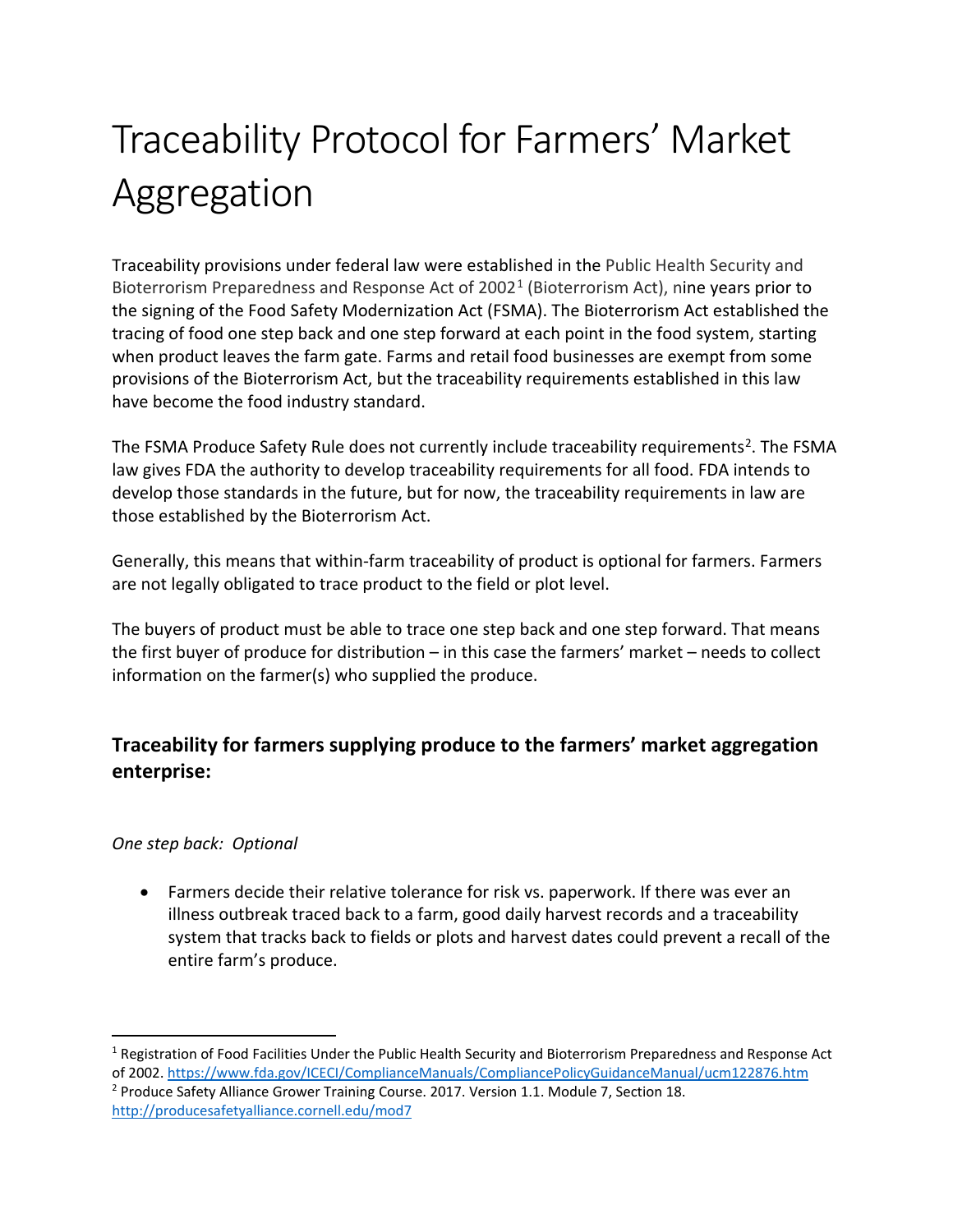# Traceability Protocol for Farmers' Market Aggregation

Traceability provisions under federal law were established in the Public Health Security and Bioterrorism Preparedness and Response Act of  $2002<sup>1</sup>$  $2002<sup>1</sup>$  $2002<sup>1</sup>$  (Bioterrorism Act), nine years prior to the signing of the Food Safety Modernization Act (FSMA). The Bioterrorism Act established the tracing of food one step back and one step forward at each point in the food system, starting when product leaves the farm gate. Farms and retail food businesses are exempt from some provisions of the Bioterrorism Act, but the traceability requirements established in this law have become the food industry standard.

The FSMA Produce Safety Rule does not currently include traceability requirements<sup>2</sup>. The FSMA law gives FDA the authority to develop traceability requirements for all food. FDA intends to develop those standards in the future, but for now, the traceability requirements in law are those established by the Bioterrorism Act.

Generally, this means that within-farm traceability of product is optional for farmers. Farmers are not legally obligated to trace product to the field or plot level.

The buyers of product must be able to trace one step back and one step forward. That means the first buyer of produce for distribution – in this case the farmers' market – needs to collect information on the farmer(s) who supplied the produce.

## **Traceability for farmers supplying produce to the farmers' market aggregation enterprise:**

#### *One step back: Optional*

• Farmers decide their relative tolerance for risk vs. paperwork. If there was ever an illness outbreak traced back to a farm, good daily harvest records and a traceability system that tracks back to fields or plots and harvest dates could prevent a recall of the entire farm's produce.

<span id="page-0-0"></span><sup>&</sup>lt;sup>1</sup> Registration of Food Facilities Under the Public Health Security and Bioterrorism Preparedness and Response Act of 2002[. https://www.fda.gov/ICECI/ComplianceManuals/CompliancePolicyGuidanceManual/ucm122876.htm](https://www.fda.gov/ICECI/ComplianceManuals/CompliancePolicyGuidanceManual/ucm122876.htm)

<span id="page-0-1"></span><sup>2</sup> Produce Safety Alliance Grower Training Course. 2017. Version 1.1. Module 7, Section 18. <http://producesafetyalliance.cornell.edu/mod7>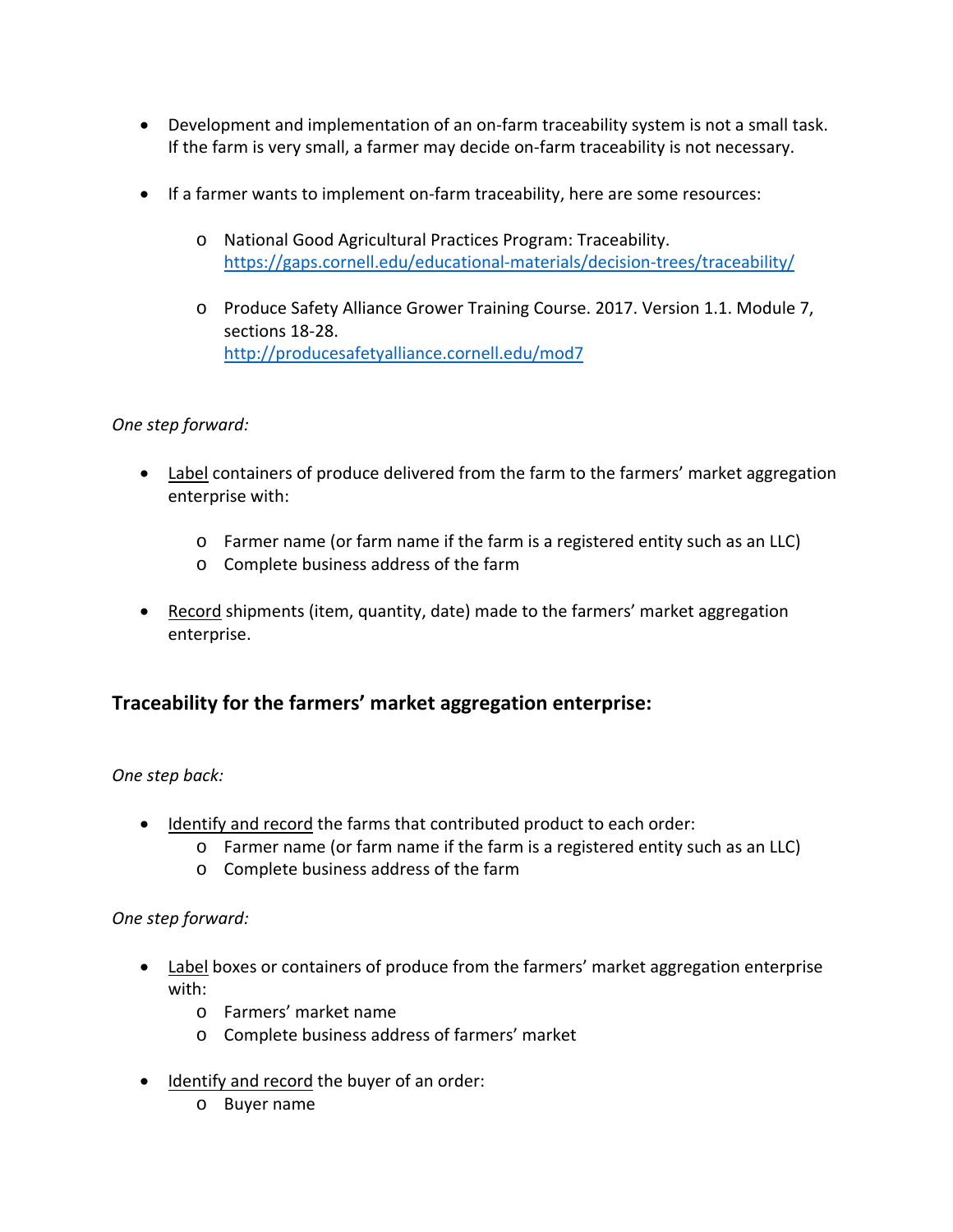- Development and implementation of an on-farm traceability system is not a small task. If the farm is very small, a farmer may decide on-farm traceability is not necessary.
- If a farmer wants to implement on-farm traceability, here are some resources:
	- o National Good Agricultural Practices Program: Traceability. <https://gaps.cornell.edu/educational-materials/decision-trees/traceability/>
	- o Produce Safety Alliance Grower Training Course. 2017. Version 1.1. Module 7, sections 18-28. <http://producesafetyalliance.cornell.edu/mod7>

#### *One step forward:*

- Label containers of produce delivered from the farm to the farmers' market aggregation enterprise with:
	- o Farmer name (or farm name if the farm is a registered entity such as an LLC)
	- o Complete business address of the farm
- Record shipments (item, quantity, date) made to the farmers' market aggregation enterprise.

### **Traceability for the farmers' market aggregation enterprise:**

*One step back:*

- Identify and record the farms that contributed product to each order:
	- o Farmer name (or farm name if the farm is a registered entity such as an LLC)
	- o Complete business address of the farm

#### *One step forward:*

- Label boxes or containers of produce from the farmers' market aggregation enterprise with:
	- o Farmers' market name
	- o Complete business address of farmers' market
- Identify and record the buyer of an order:
	- o Buyer name